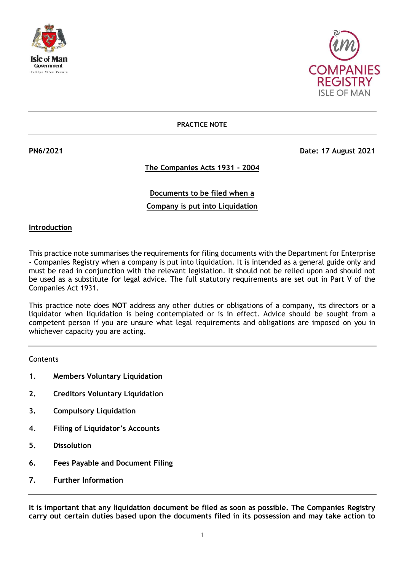



#### **PRACTICE NOTE**

**PN6/2021 Date: 17 August 2021**

# **The Companies Acts 1931 - 2004**

# **Documents to be filed when a Company is put into Liquidation**

#### **Introduction**

This practice note summarises the requirements for filing documents with the Department for Enterprise - Companies Registry when a company is put into liquidation. It is intended as a general guide only and must be read in conjunction with the relevant legislation. It should not be relied upon and should not be used as a substitute for legal advice. The full statutory requirements are set out in Part V of the Companies Act 1931.

This practice note does **NOT** address any other duties or obligations of a company, its directors or a liquidator when liquidation is being contemplated or is in effect. Advice should be sought from a competent person if you are unsure what legal requirements and obligations are imposed on you in whichever capacity you are acting.

**Contents** 

- **1. Members Voluntary Liquidation**
- **2. Creditors Voluntary Liquidation**
- **3. Compulsory Liquidation**
- **4. Filing of Liquidator's Accounts**
- **5. Dissolution**
- **6. Fees Payable and Document Filing**
- **7. Further Information**

**It is important that any liquidation document be filed as soon as possible. The Companies Registry carry out certain duties based upon the documents filed in its possession and may take action to**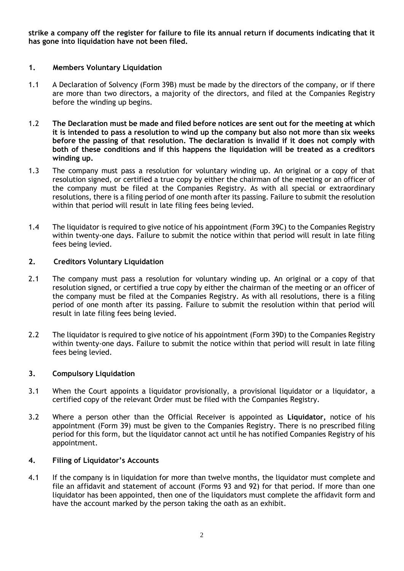**strike a company off the register for failure to file its annual return if documents indicating that it has gone into liquidation have not been filed.**

### **1. Members Voluntary Liquidation**

- 1.1 A Declaration of Solvency (Form 39B) must be made by the directors of the company, or if there are more than two directors, a majority of the directors, and filed at the Companies Registry before the winding up begins.
- 1.2 **The Declaration must be made and filed before notices are sent out for the meeting at which it is intended to pass a resolution to wind up the company but also not more than six weeks before the passing of that resolution. The declaration is invalid if it does not comply with both of these conditions and if this happens the liquidation will be treated as a creditors winding up.**
- 1.3 The company must pass a resolution for voluntary winding up. An original or a copy of that resolution signed, or certified a true copy by either the chairman of the meeting or an officer of the company must be filed at the Companies Registry. As with all special or extraordinary resolutions, there is a filing period of one month after its passing. Failure to submit the resolution within that period will result in late filing fees being levied.
- 1.4 The liquidator is required to give notice of his appointment (Form 39C) to the Companies Registry within twenty-one days. Failure to submit the notice within that period will result in late filing fees being levied.

# **2. Creditors Voluntary Liquidation**

- 2.1 The company must pass a resolution for voluntary winding up. An original or a copy of that resolution signed, or certified a true copy by either the chairman of the meeting or an officer of the company must be filed at the Companies Registry. As with all resolutions, there is a filing period of one month after its passing. Failure to submit the resolution within that period will result in late filing fees being levied.
- 2.2 The liquidator is required to give notice of his appointment (Form 39D) to the Companies Registry within twenty-one days. Failure to submit the notice within that period will result in late filing fees being levied.

### **3. Compulsory Liquidation**

- 3.1 When the Court appoints a liquidator provisionally, a provisional liquidator or a liquidator, a certified copy of the relevant Order must be filed with the Companies Registry.
- 3.2 Where a person other than the Official Receiver is appointed as **Liquidator,** notice of his appointment (Form 39) must be given to the Companies Registry. There is no prescribed filing period for this form, but the liquidator cannot act until he has notified Companies Registry of his appointment.

### **4. Filing of Liquidator's Accounts**

4.1 If the company is in liquidation for more than twelve months, the liquidator must complete and file an affidavit and statement of account (Forms 93 and 92) for that period. If more than one liquidator has been appointed, then one of the liquidators must complete the affidavit form and have the account marked by the person taking the oath as an exhibit.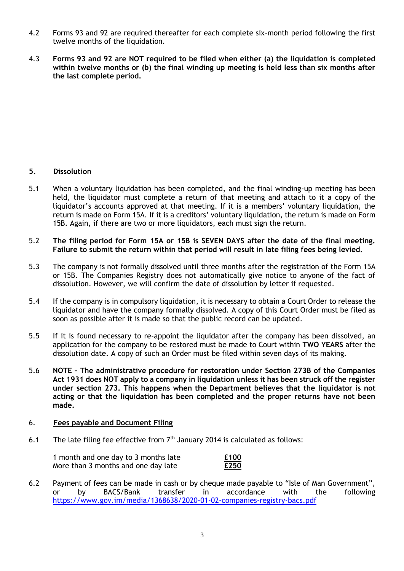- 4.2 Forms 93 and 92 are required thereafter for each complete six-month period following the first twelve months of the liquidation.
- 4.3 **Forms 93 and 92 are NOT required to be filed when either (a) the liquidation is completed within twelve months or (b) the final winding up meeting is held less than six months after the last complete period.**

### **5. Dissolution**

- 5.1 When a voluntary liquidation has been completed, and the final winding-up meeting has been held, the liquidator must complete a return of that meeting and attach to it a copy of the liquidator's accounts approved at that meeting. If it is a members' voluntary liquidation, the return is made on Form 15A. If it is a creditors' voluntary liquidation, the return is made on Form 15B. Again, if there are two or more liquidators, each must sign the return.
- 5.2 **The filing period for Form 15A or 15B is SEVEN DAYS after the date of the final meeting. Failure to submit the return within that period will result in late filing fees being levied.**
- 5.3 The company is not formally dissolved until three months after the registration of the Form 15A or 15B. The Companies Registry does not automatically give notice to anyone of the fact of dissolution. However, we will confirm the date of dissolution by letter if requested.
- 5.4 If the company is in compulsory liquidation, it is necessary to obtain a Court Order to release the liquidator and have the company formally dissolved. A copy of this Court Order must be filed as soon as possible after it is made so that the public record can be updated.
- 5.5 If it is found necessary to re-appoint the liquidator after the company has been dissolved, an application for the company to be restored must be made to Court within **TWO YEARS** after the dissolution date. A copy of such an Order must be filed within seven days of its making.
- 5.6 **NOTE – The administrative procedure for restoration under Section 273B of the Companies Act 1931 does NOT apply to a company in liquidation unless it has been struck off the register under section 273. This happens when the Department believes that the liquidator is not acting or that the liquidation has been completed and the proper returns have not been made.**

#### 6. **Fees payable and Document Filing**

6.1 The late filing fee effective from  $7<sup>th</sup>$  January 2014 is calculated as follows:

| 1 month and one day to 3 months late | £100 |
|--------------------------------------|------|
| More than 3 months and one day late  | £250 |

6.2 Payment of fees can be made in cash or by cheque made payable to "Isle of Man Government", or by BACS/Bank transfer in accordance with the following <https://www.gov.im/media/1368638/2020-01-02-companies-registry-bacs.pdf>